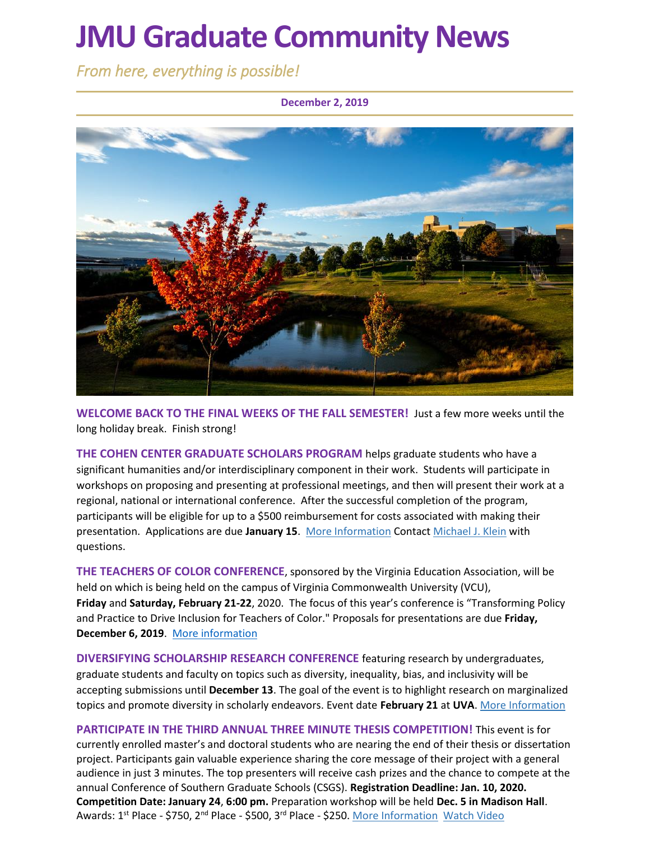# **JMU Graduate Community News**

*From here, everything is possible!* 

### **December 2, 2019**



**WELCOME BACK TO THE FINAL WEEKS OF THE FALL SEMESTER!** Just a few more weeks until the long holiday break. Finish strong!

**THE COHEN CENTER GRADUATE SCHOLARS PROGRAM** helps graduate students who have a significant humanities and/or interdisciplinary component in their work. Students will participate in workshops on proposing and presenting at professional meetings, and then will present their work at a regional, national or international conference. After the successful completion of the program, participants will be eligible for up to a \$500 reimbursement for costs associated with making their presentation. Applications are due **January 15**. [More Information](https://www.jmu.edu/cohencenter/resources.shtml) Contact [Michael J. Klein](mailto:kleinmj@jmu.edu) with questions.

**THE TEACHERS OF COLOR CONFERENCE**, sponsored by the Virginia Education Association, will be held on which is being held on the campus of Virginia Commonwealth University (VCU), **Friday** and **Saturday, February 21-22**, 2020. The focus of this year's conference is "Transforming Policy and Practice to Drive Inclusion for Teachers of Color." Proposals for presentations are due **Friday, December 6, 2019**. [More information](https://forms.veanea.net/view.php?id=277591)

**DIVERSIFYING SCHOLARSHIP RESEARCH CONFERENCE** featuring research by undergraduates, graduate students and faculty on topics such as diversity, inequality, bias, and inclusivity will be accepting submissions until **December 13**. The goal of the event is to highlight research on marginalized topics and promote diversity in scholarly endeavors. Event date **February 21** at **UVA**. [More Information](https://uva.theopenscholar.com/diversifyingscholarship)

**PARTICIPATE IN THE THIRD ANNUAL THREE MINUTE THESIS COMPETITION!** This event is for currently enrolled master's and doctoral students who are nearing the end of their thesis or dissertation project. Participants gain valuable experience sharing the core message of their project with a general audience in just 3 minutes. The top presenters will receive cash prizes and the chance to compete at the annual Conference of Southern Graduate Schools (CSGS). **Registration Deadline: Jan. 10, 2020. Competition Date: January 24**, **6:00 pm.** Preparation workshop will be held **Dec. 5 in Madison Hall**. Awards: 1<sup>st</sup> Place - \$750, 2<sup>nd</sup> Place - \$500, 3<sup>rd</sup> Place - \$250. <u>[More Information](https://www.jmu.edu/grad/current-students/three-minute-thesis.shtml) [Watch Video](https://www.youtube.com/watch?v=ro-EjO9kJI8&list=PL5gbai5mqVofzafXS2nOt7XRAGnK9D9ci&index=11)</u>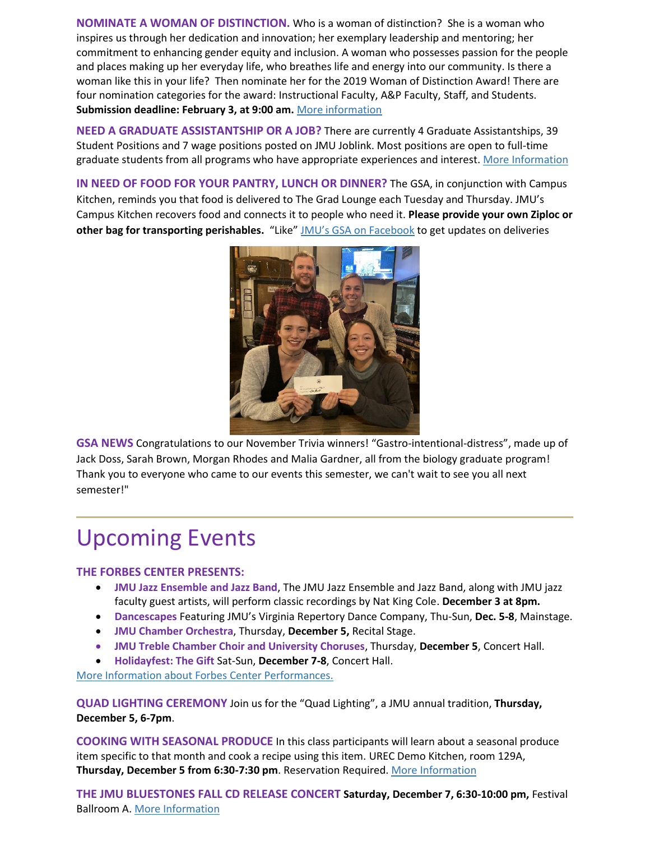**NOMINATE A WOMAN OF DISTINCTION.** Who is a woman of distinction? She is a woman who inspires us through her dedication and innovation; her exemplary leadership and mentoring; her commitment to enhancing gender equity and inclusion. A woman who possesses passion for the people and places making up her everyday life, who breathes life and energy into our community. Is there a woman like this in your life? Then nominate her for the 2019 Woman of Distinction Award! There are four nomination categories for the award: Instructional Faculty, A&P Faculty, Staff, and Students. **Submission deadline: February 3, at 9:00 am.** [More information](https://www.jmu.edu/diversity/programs-and-events/Woman-of-Distinction-Award.shtml)

**NEED A GRADUATE ASSISTANTSHIP OR A JOB?** There are currently 4 Graduate Assistantships, 39 Student Positions and 7 wage positions posted on JMU Joblink. Most positions are open to full-time graduate students from all programs who have appropriate experiences and interest. [More Information](https://joblink.jmu.edu/)

**IN NEED OF FOOD FOR YOUR PANTRY, LUNCH OR DINNER?** The GSA, in conjunction with Campus Kitchen, reminds you that food is delivered to The Grad Lounge each Tuesday and Thursday. JMU's Campus Kitchen recovers food and connects it to people who need it. **Please provide your own Ziploc or other bag for transporting perishables.** "Like" [JMU's GSA on Facebook](https://www.facebook.com/JMUGSA/) to get updates on deliveries



**GSA NEWS** Congratulations to our November Trivia winners! "Gastro-intentional-distress", made up of Jack Doss, Sarah Brown, Morgan Rhodes and Malia Gardner, all from the biology graduate program! Thank you to everyone who came to our events this semester, we can't wait to see you all next semester!"

# Upcoming Events

### **THE FORBES CENTER PRESENTS:**

- **JMU Jazz Ensemble and Jazz Band**, The JMU Jazz Ensemble and Jazz Band, along with JMU jazz faculty guest artists, will perform classic recordings by Nat King Cole. **December 3 at 8pm.**
- **Dancescapes** Featuring JMU's Virginia Repertory Dance Company, Thu-Sun, **Dec. 5-8**, Mainstage.
- **JMU Chamber Orchestra**, Thursday, **December 5,** Recital Stage.
- **JMU Treble Chamber Choir and University Choruses**, Thursday, **December 5**, Concert Hall.
- **Holidayfest: The Gift** Sat-Sun, **December 7-8**, Concert Hall.

[More Information](https://jmuforbescenter.com/) about Forbes Center Performances.

**QUAD LIGHTING CEREMONY** Join us for the "Quad Lighting", a JMU annual tradition, **Thursday, December 5, 6-7pm**.

**COOKING WITH SEASONAL PRODUCE** In this class participants will learn about a seasonal produce item specific to that month and cook a recipe using this item. UREC Demo Kitchen, room 129A, **Thursday, December 5 from 6:30-7:30 pm**. Reservation Required. [More Information](https://ems.jmu.edu/MasterCalendar/EventDetails.aspx?EventDetailId=706711)

**THE JMU BLUESTONES FALL CD RELEASE CONCERT Saturday, December 7, 6:30-10:00 pm,** Festival Ballroom A. [More Information](https://ems.jmu.edu/MasterCalendar/EventDetails.aspx?EventDetailId=697091)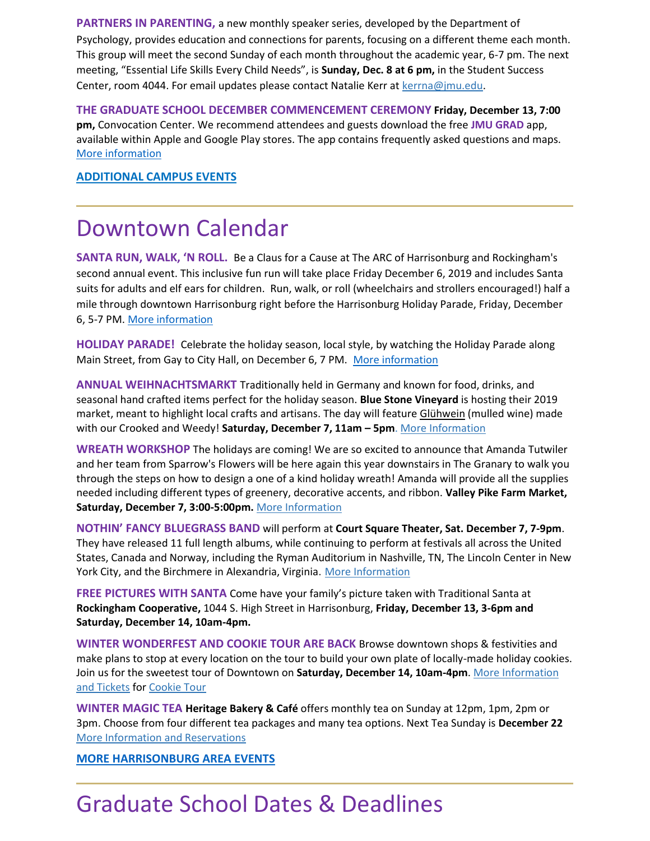**PARTNERS IN PARENTING,** a new monthly speaker series, developed by the Department of Psychology, provides education and connections for parents, focusing on a different theme each month. This group will meet the second Sunday of each month throughout the academic year, 6-7 pm. The next meeting, "Essential Life Skills Every Child Needs", is **Sunday, Dec. 8 at 6 pm,** in the Student Success Center, room 4044. For email updates please contact Natalie Kerr at [kerrna@jmu.edu.](mailto:kerrna@jmu.edu)

**THE GRADUATE SCHOOL DECEMBER COMMENCEMENT CEREMONY Friday, December 13, 7:00 pm,** Convocation Center. We recommend attendees and guests download the free **JMU GRAD** app, available within Apple and Google Play stores. The app contains frequently asked questions and maps. [More information](https://www.jmu.edu/commencement/)

**[ADDITIONAL CAMPUS EVENTS](https://www.jmu.edu/events/)**

### Downtown Calendar

**SANTA RUN, WALK, 'N ROLL.** Be a Claus for a Cause at The ARC of Harrisonburg and Rockingham's second annual event. This inclusive fun run will take place Friday December 6, 2019 and includes Santa suits for adults and elf ears for children. Run, walk, or roll (wheelchairs and strollers encouraged!) half a mile through downtown Harrisonburg right before the Harrisonburg Holiday Parade, Friday, December 6, 5-7 PM. [More information](https://www.facebook.com/events/1602227866586603/)

**HOLIDAY PARADE!** Celebrate the holiday season, local style, by watching the Holiday Parade along Main Street, from Gay to City Hall, on December 6, 7 PM.[More information](https://www.harrisonburgva.gov/holiday-parade)

**ANNUAL WEIHNACHTSMARKT** Traditionally held in Germany and known for food, drinks, and seasonal hand crafted items perfect for the holiday season. **Blue Stone Vineyard** is hosting their 2019 market, meant to highlight local crafts and artisans. The day will feature Glühwein (mulled wine) made with our Crooked and Weedy! **Saturday, December 7, 11am – 5pm**. [More Information](https://www.bluestonevineyard.com/event-calendar.html)

**WREATH WORKSHOP** The holidays are coming! We are so excited to announce that Amanda Tutwiler and her team from Sparrow's Flowers will be here again this year downstairs in The Granary to walk you through the steps on how to design a one of a kind holiday wreath! Amanda will provide all the supplies needed including different types of greenery, decorative accents, and ribbon. **Valley Pike Farm Market, Saturday, December 7, 3:00-5:00pm.** [More Information](https://www.eventbrite.com/e/wreath-workshop-3-tickets-73340303823?aff=ebdssbdestsearch)

**NOTHIN' FANCY BLUEGRASS BAND** will perform at **Court Square Theater, Sat. December 7, 7-9pm**. They have released 11 full length albums, while continuing to perform at festivals all across the United States, Canada and Norway, including the Ryman Auditorium in Nashville, TN, The Lincoln Center in New York City, and the Birchmere in Alexandria, Virginia. [More Information](https://www.valleyarts.org/performances)

**FREE PICTURES WITH SANTA** Come have your family's picture taken with Traditional Santa at **Rockingham Cooperative,** 1044 S. High Street in Harrisonburg, **Friday, December 13, 3-6pm and Saturday, December 14, 10am-4pm.**

**WINTER WONDERFEST AND COOKIE TOUR ARE BACK** Browse downtown shops & festivities and make plans to stop at every location on the tour to build your own plate of locally-made holiday cookies. Join us for the sweetest tour of Downtown on **Saturday, December 14, 10am-4pm**. [More Information](https://downtownharrisonburg.org/winterwonderfest/) and Tickets for [Cookie Tour](https://www.eventbrite.com/e/downtown-harrisonburg-cookie-tour-2019-tickets-79368488285)

**WINTER MAGIC TEA Heritage Bakery & Café** offers monthly tea on Sunday at 12pm, 1pm, 2pm or 3pm. Choose from four different tea packages and many tea options. Next Tea Sunday is **December 22** [More Information and Reservations](https://www.heritagebakes.com/sunday-tea/)

**[MORE HARRISONBURG AREA EVENTS](https://www.visitharrisonburgva.com/calendar-of-events/)**

# Graduate School Dates & Deadlines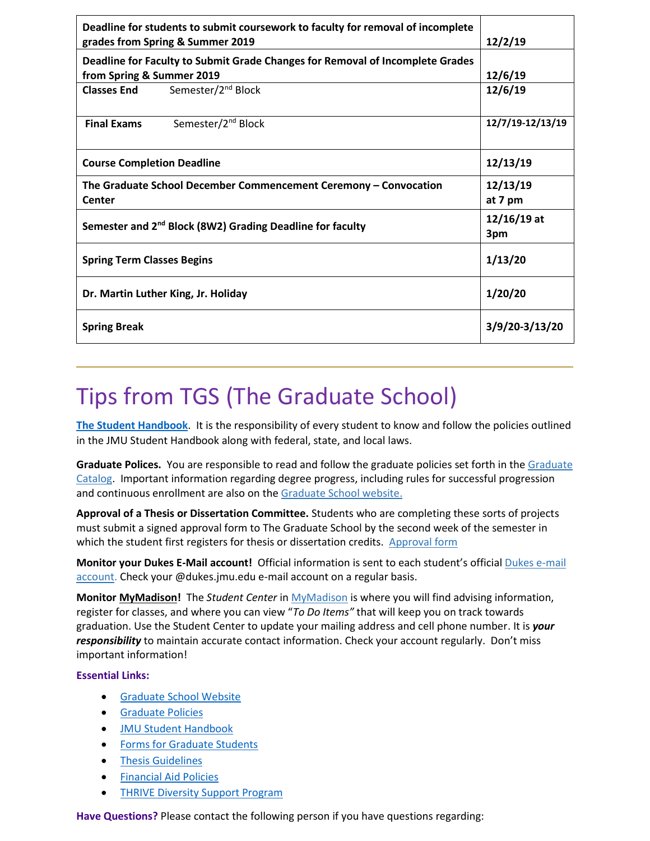| Deadline for students to submit coursework to faculty for removal of incomplete<br>grades from Spring & Summer 2019 | 12/2/19              |
|---------------------------------------------------------------------------------------------------------------------|----------------------|
| Deadline for Faculty to Submit Grade Changes for Removal of Incomplete Grades                                       |                      |
| from Spring & Summer 2019                                                                                           | 12/6/19              |
| Semester/2 <sup>nd</sup> Block<br><b>Classes End</b>                                                                | 12/6/19              |
| <b>Final Exams</b><br>Semester/2 <sup>nd</sup> Block                                                                | 12/7/19-12/13/19     |
| <b>Course Completion Deadline</b>                                                                                   | 12/13/19             |
| The Graduate School December Commencement Ceremony - Convocation<br>Center                                          | 12/13/19<br>at 7 pm  |
| Semester and 2 <sup>nd</sup> Block (8W2) Grading Deadline for faculty                                               | $12/16/19$ at<br>3pm |
| <b>Spring Term Classes Begins</b>                                                                                   | 1/13/20              |
| Dr. Martin Luther King, Jr. Holiday                                                                                 | 1/20/20              |
| <b>Spring Break</b>                                                                                                 | 3/9/20-3/13/20       |

## Tips from TGS (The Graduate School)

**The Student Handbook**. It is the responsibility of every student to know and follow the policies outlined in the JMU Student Handbook along with federal, state, and local laws.

**Graduate Polices.** You are responsible to read and follow the graduate policies set forth in th[e Graduate](http://jmu.edu/catalog)  [Catalog.](http://jmu.edu/catalog) Important information regarding degree progress, including rules for successful progression and continuous enrollment are also on the [Graduate School website.](http://www.jmu.edu/grad/current-students/degree-progress/beginning.shtml)

**Approval of a Thesis or Dissertation Committee.** Students who are completing these sorts of projects must submit a signed approval form to The Graduate School by the second week of the semester in which the student first registers for thesis or dissertation credits. [Approval form](https://www.jmu.edu/grad/_files/CommitteeApprovalForm2017-18.pdf)

**Monitor your Dukes E-Mail account!** Official information is sent to each student's officia[l Dukes e-mail](http://www.jmu.edu/computing/helpdesk/selfhelp/DukesEmail.shtml)  [account.](http://www.jmu.edu/computing/helpdesk/selfhelp/DukesEmail.shtml) Check your @dukes.jmu.edu e-mail account on a regular basis.

**Monitor [MyMadison!](http://mymadison.jmu.edu/)** The *Student Center* i[n MyMadison](http://mymadison.jmu.edu/) is where you will find advising information, register for classes, and where you can view "*To Do Items"* that will keep you on track towards graduation. Use the Student Center to update your mailing address and cell phone number. It is *your responsibility* to maintain accurate contact information. Check your account regularly. Don't miss important information!

### **Essential Links:**

- **[Graduate School Website](http://www.jmu.edu/grad)**
- **•** [Graduate Policies](http://www.jmu.edu/catalog/index.shtml)
- [JMU Student Handbook](https://www.jmu.edu/osarp/handbook/index.shtml)
- **•** [Forms for Graduate Students](http://www.jmu.edu/grad/current-students/graduate-forms.shtml)
- [Thesis Guidelines](http://www.jmu.edu/grad/current-students/thesis-dissertation/information.shtml)
- [Financial Aid Policies](https://www.jmu.edu/financialaid/)
- **[THRIVE Diversity Support Program](https://www.jmu.edu/grad/THRIVE/index.shtml)**

**Have Questions?** Please contact the following person if you have questions regarding: